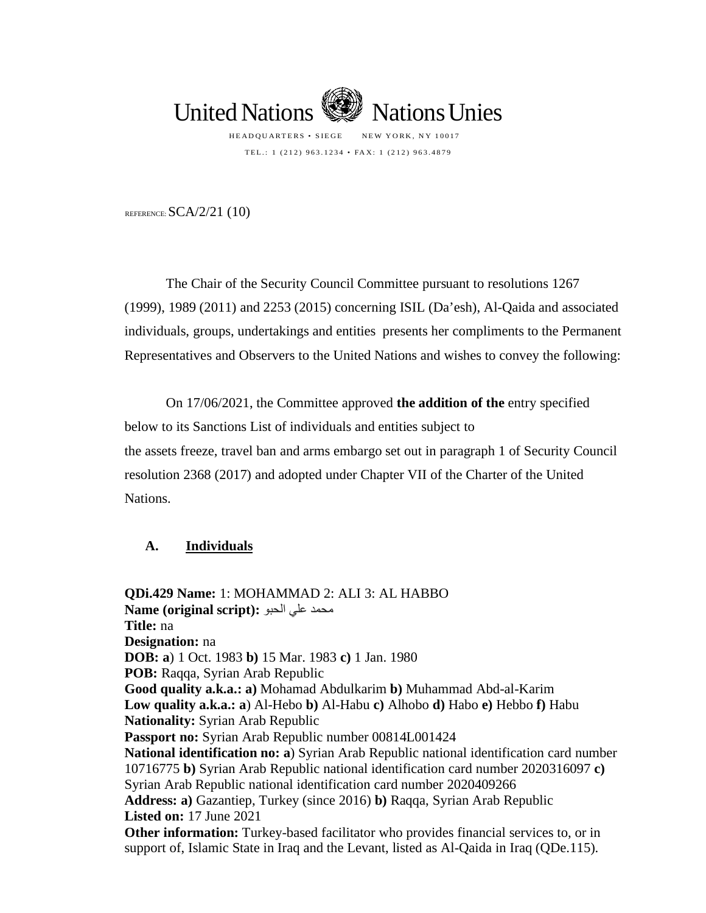

TEL.: 1 (212) 963.1234 • FAX: 1 (212) 963.4879

REFERENCE:  $SCA/2/21$  (10)

The Chair of the Security Council Committee pursuant to resolutions 1267 (1999), 1989 (2011) and 2253 (2015) concerning ISIL (Da'esh), Al-Qaida and associated individuals, groups, undertakings and entities presents her compliments to the Permanent Representatives and Observers to the United Nations and wishes to convey the following:

On 17/06/2021, the Committee approved **the addition of the** entry specified below to its Sanctions List of individuals and entities subject to the assets freeze, travel ban and arms embargo set out in paragraph 1 of Security Council resolution 2368 (2017) and adopted under Chapter VII of the Charter of the United Nations.

## **A. Individuals**

**QDi.429 Name:** 1: MOHAMMAD 2: ALI 3: AL HABBO محمد علي الحبو **:(script original (Name Title:** na **Designation:** na **DOB: a**) 1 Oct. 1983 **b)** 15 Mar. 1983 **c)** 1 Jan. 1980 **POB:** Raqqa, Syrian Arab Republic **Good quality a.k.a.: a)** Mohamad Abdulkarim **b)** Muhammad Abd-al-Karim **Low quality a.k.a.: a**) Al-Hebo **b)** Al-Habu **c)** Alhobo **d)** Habo **e)** Hebbo **f)** Habu **Nationality:** Syrian Arab Republic **Passport no:** Syrian Arab Republic number 00814L001424 **National identification no: a**) Syrian Arab Republic national identification card number 10716775 **b)** Syrian Arab Republic national identification card number 2020316097 **c)** Syrian Arab Republic national identification card number 2020409266 **Address: a)** Gazantiep, Turkey (since 2016) **b)** Raqqa, Syrian Arab Republic **Listed on:** 17 June 2021 **Other information:** Turkey-based facilitator who provides financial services to, or in support of, Islamic State in Iraq and the Levant, listed as Al-Qaida in Iraq (QDe.115).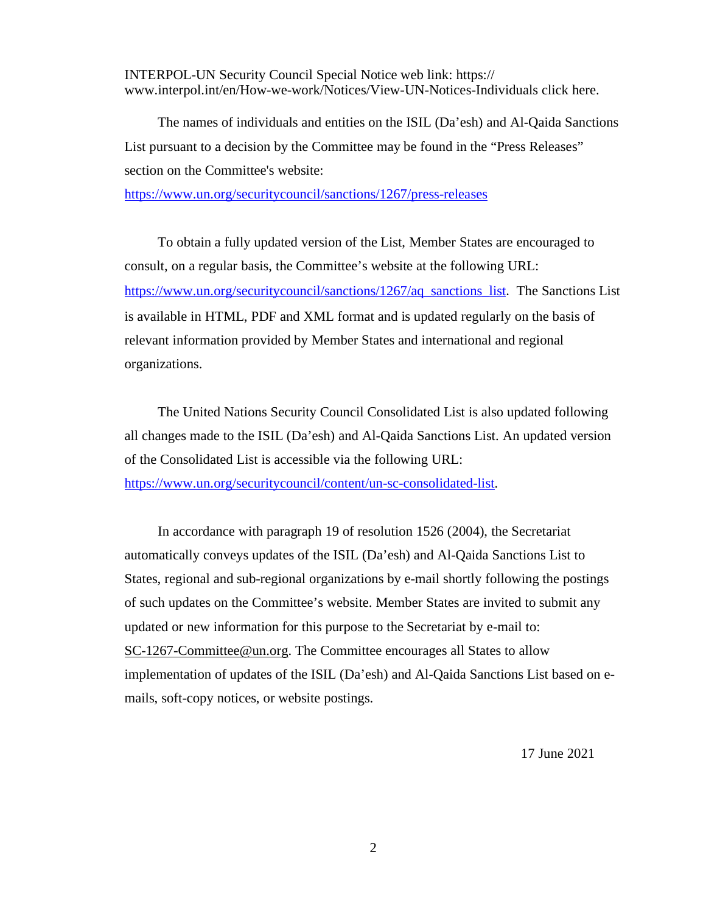INTERPOL-UN Security Council Special Notice web link: https:// www.interpol.int/en/How-we-work/Notices/View-UN-Notices-Individuals click here.

The names of individuals and entities on the ISIL (Da'esh) and Al-Qaida Sanctions List pursuant to a decision by the Committee may be found in the "Press Releases" section on the Committee's website:

<https://www.un.org/securitycouncil/sanctions/1267/press-releases>

To obtain a fully updated version of the List, Member States are encouraged to consult, on a regular basis, the Committee's website at the following URL: [https://www.un.org/securitycouncil/sanctions/1267/aq\\_sanctions\\_list](https://www.un.org/securitycouncil/sanctions/1267/aq_sanctions_list). The Sanctions List is available in HTML, PDF and XML format and is updated regularly on the basis of relevant information provided by Member States and international and regional organizations.

The United Nations Security Council Consolidated List is also updated following all changes made to the ISIL (Da'esh) and Al-Qaida Sanctions List. An updated version of the Consolidated List is accessible via the following URL: [https://www.un.org/securitycouncil/content/un-sc-consolidated-list.](https://www.un.org/securitycouncil/content/un-sc-consolidated-list)

In accordance with paragraph 19 of resolution 1526 (2004), the Secretariat automatically conveys updates of the ISIL (Da'esh) and Al-Qaida Sanctions List to States, regional and sub-regional organizations by e-mail shortly following the postings of such updates on the Committee's website. Member States are invited to submit any updated or new information for this purpose to the Secretariat by e-mail to: [SC-1267-Committee@un.org.](mailto:SC-1267-Committee@un.org) The Committee encourages all States to allow implementation of updates of the ISIL (Da'esh) and Al-Qaida Sanctions List based on emails, soft-copy notices, or website postings.

17 June 2021

2